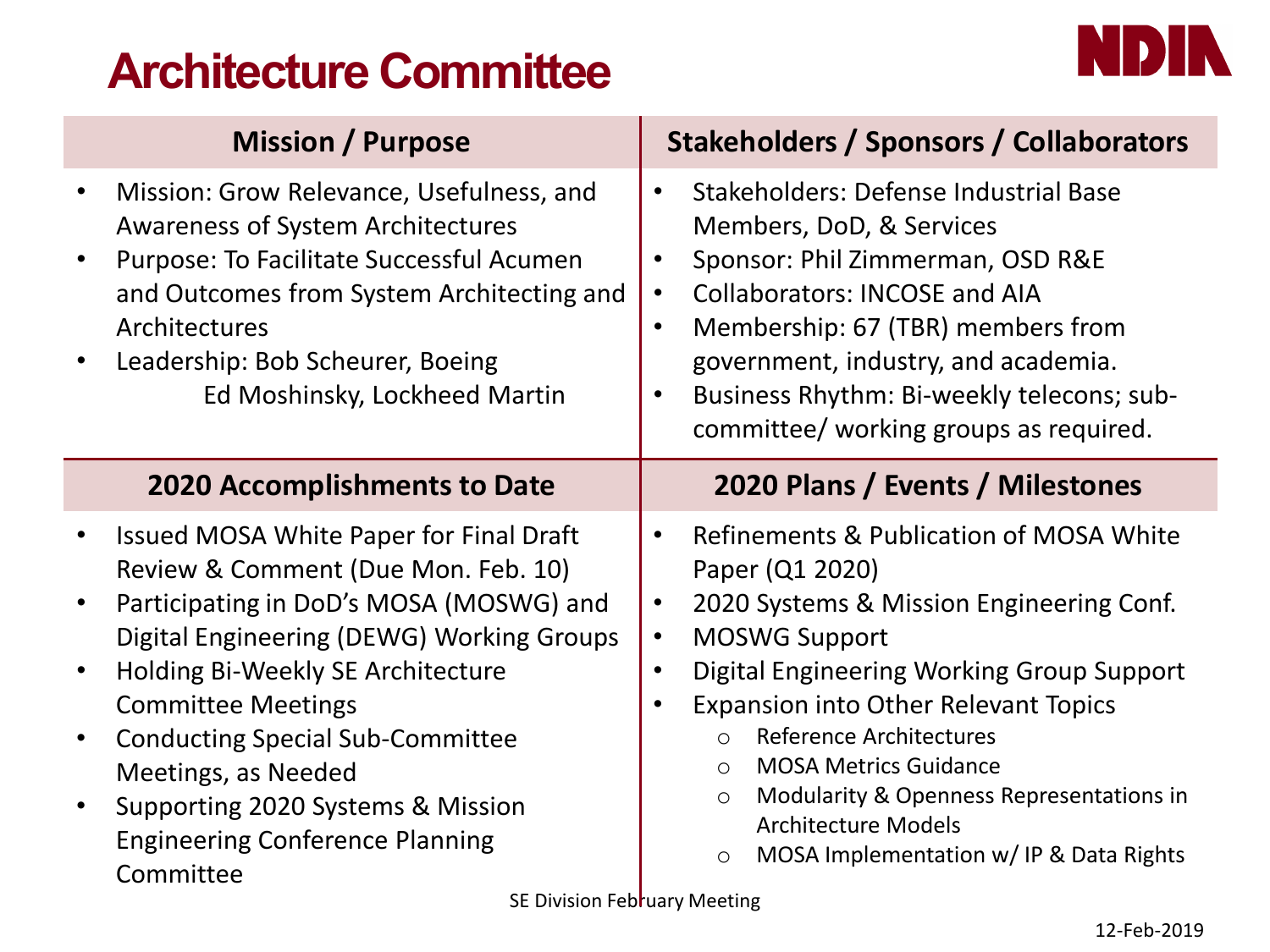# **Architecture Committee**



|                                     | <b>Mission / Purpose</b>                                                                                                                                                                                                                                                                                                                                                                                                               | <b>Stakeholders / Sponsors / Collaborators</b>                                                                                                                                                                                                                                                                                                                                                                                                                                 |
|-------------------------------------|----------------------------------------------------------------------------------------------------------------------------------------------------------------------------------------------------------------------------------------------------------------------------------------------------------------------------------------------------------------------------------------------------------------------------------------|--------------------------------------------------------------------------------------------------------------------------------------------------------------------------------------------------------------------------------------------------------------------------------------------------------------------------------------------------------------------------------------------------------------------------------------------------------------------------------|
|                                     | Mission: Grow Relevance, Usefulness, and<br><b>Awareness of System Architectures</b><br>Purpose: To Facilitate Successful Acumen<br>and Outcomes from System Architecting and<br>Architectures<br>Leadership: Bob Scheurer, Boeing<br>Ed Moshinsky, Lockheed Martin                                                                                                                                                                    | Stakeholders: Defense Industrial Base<br>Members, DoD, & Services<br>Sponsor: Phil Zimmerman, OSD R&E<br><b>Collaborators: INCOSE and AIA</b><br>Membership: 67 (TBR) members from<br>$\bullet$<br>government, industry, and academia.<br>Business Rhythm: Bi-weekly telecons; sub-<br>committee/ working groups as required.                                                                                                                                                  |
|                                     | <b>2020 Accomplishments to Date</b>                                                                                                                                                                                                                                                                                                                                                                                                    | 2020 Plans / Events / Milestones                                                                                                                                                                                                                                                                                                                                                                                                                                               |
| $\bullet$<br>$\bullet$<br>$\bullet$ | Issued MOSA White Paper for Final Draft<br>Review & Comment (Due Mon. Feb. 10)<br>Participating in DoD's MOSA (MOSWG) and<br>Digital Engineering (DEWG) Working Groups<br>Holding Bi-Weekly SE Architecture<br><b>Committee Meetings</b><br><b>Conducting Special Sub-Committee</b><br>Meetings, as Needed<br>Supporting 2020 Systems & Mission<br><b>Engineering Conference Planning</b><br>Committee<br>SE Division February Meeting | <b>Refinements &amp; Publication of MOSA White</b><br>Paper (Q1 2020)<br>2020 Systems & Mission Engineering Conf.<br><b>MOSWG Support</b><br>Digital Engineering Working Group Support<br><b>Expansion into Other Relevant Topics</b><br><b>Reference Architectures</b><br>$\circ$<br><b>MOSA Metrics Guidance</b><br>$\bigcirc$<br>Modularity & Openness Representations in<br>$\circ$<br><b>Architecture Models</b><br>MOSA Implementation w/ IP & Data Rights<br>$\bigcirc$ |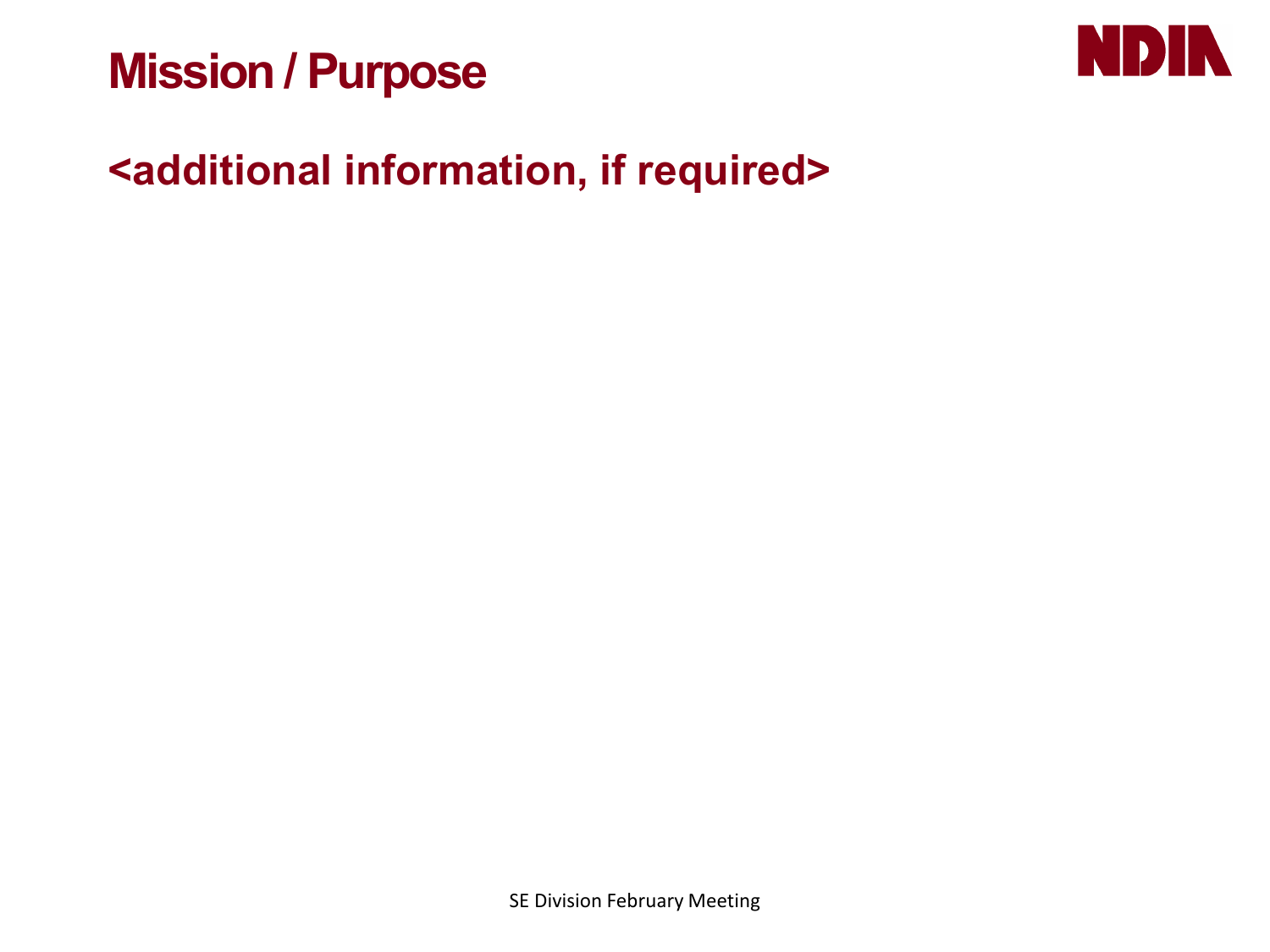## **Mission / Purpose**



### **<additional information, if required>**

SE Division February Meeting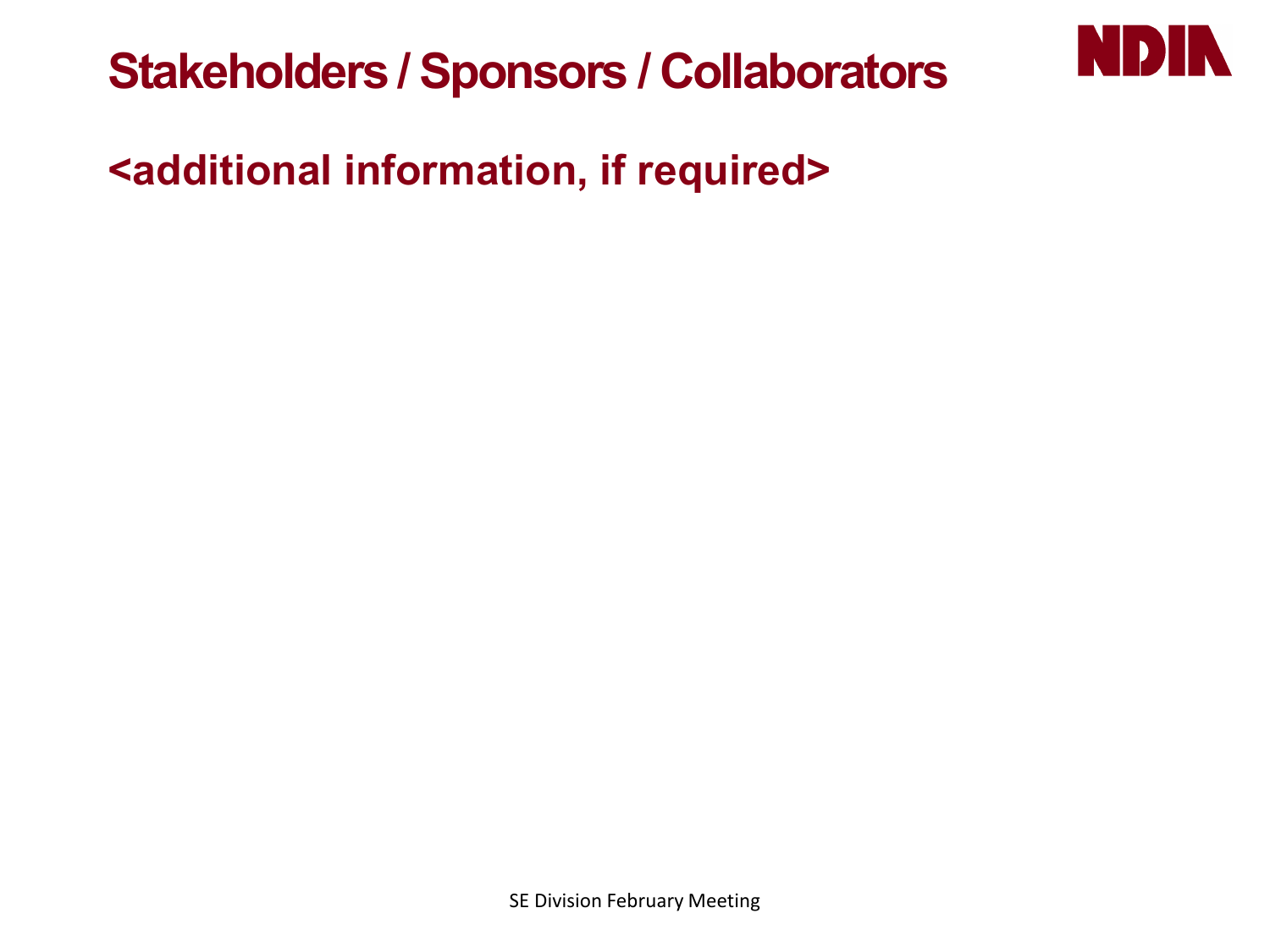



### **<additional information, if required>**

SE Division February Meeting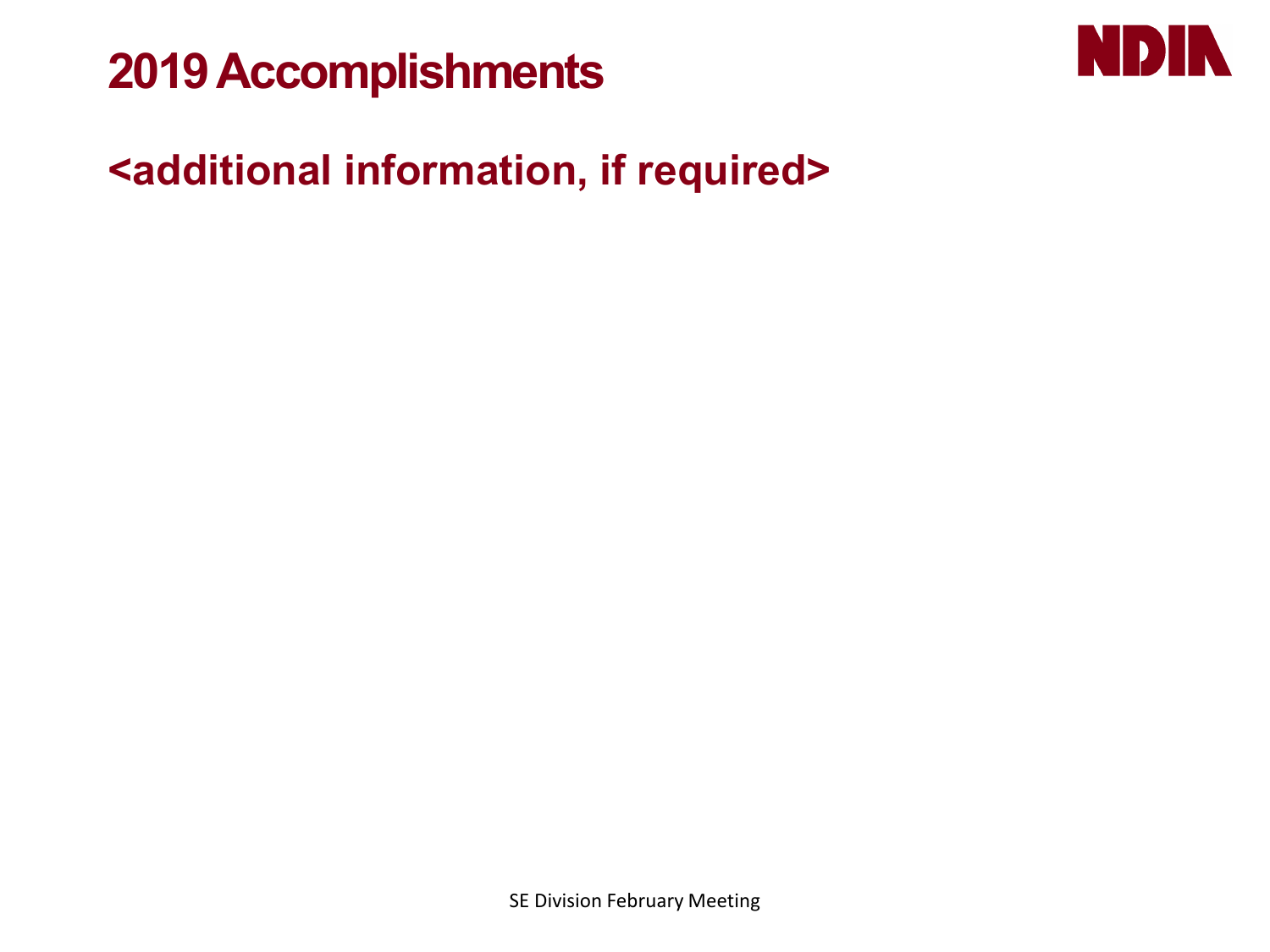## **2019 Accomplishments**



### **<additional information, if required>**